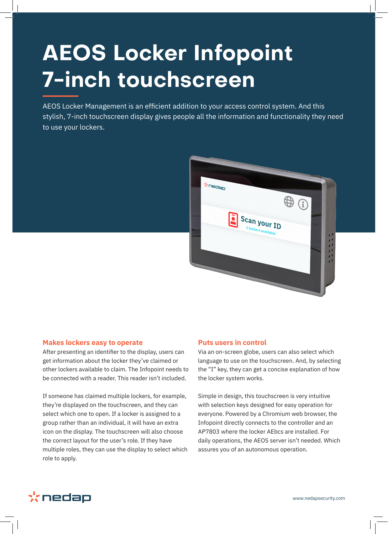# **AEOS Locker Infopoint 7-inch touchscreen**

AEOS Locker Management is an efficient addition to your access control system. And this stylish, 7-inch touchscreen display gives people all the information and functionality they need to use your lockers.



#### **Makes lockers easy to operate**

After presenting an identifier to the display, users can get information about the locker they've claimed or other lockers available to claim. The Infopoint needs to be connected with a reader. This reader isn't included.

If someone has claimed multiple lockers, for example, they're displayed on the touchscreen, and they can select which one to open. If a locker is assigned to a group rather than an individual, it will have an extra icon on the display. The touchscreen will also choose the correct layout for the user's role. If they have multiple roles, they can use the display to select which role to apply.

#### **Puts users in control**

Via an on-screen globe, users can also select which language to use on the touchscreen. And, by selecting the "I" key, they can get a concise explanation of how the locker system works.

Simple in design, this touchscreen is very intuitive with selection keys designed for easy operation for everyone. Powered by a Chromium web browser, the Infopoint directly connects to the controller and an AP7803 where the locker AEbcs are installed. For daily operations, the AEOS server isn't needed. Which assures you of an autonomous operation.